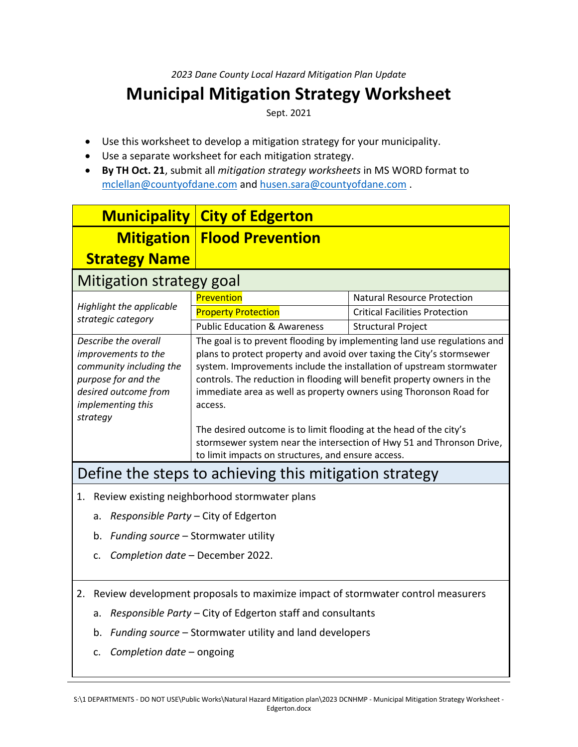*2023 Dane County Local Hazard Mitigation Plan Update*

## **Municipal Mitigation Strategy Worksheet**

Sept. 2021

- Use this worksheet to develop a mitigation strategy for your municipality.
- Use a separate worksheet for each mitigation strategy.
- **By TH Oct. 21**, submit all *mitigation strategy worksheets* in MS WORD format to [mclellan@countyofdane.com](mailto:mclellan@countyofdane.com) and [husen.sara@countyofdane.com](mailto:husen.sara@countyofdane.com) .

| <b>Municipality</b>                                                                                                                                    | <b>City of Edgerton</b>                                                                                                                                                                                                                                                                                                                                                                                                                                                                                                                                                                    |                                       |
|--------------------------------------------------------------------------------------------------------------------------------------------------------|--------------------------------------------------------------------------------------------------------------------------------------------------------------------------------------------------------------------------------------------------------------------------------------------------------------------------------------------------------------------------------------------------------------------------------------------------------------------------------------------------------------------------------------------------------------------------------------------|---------------------------------------|
|                                                                                                                                                        | <b>Mitigation   Flood Prevention</b>                                                                                                                                                                                                                                                                                                                                                                                                                                                                                                                                                       |                                       |
| <b>Strategy Name</b>                                                                                                                                   |                                                                                                                                                                                                                                                                                                                                                                                                                                                                                                                                                                                            |                                       |
| Mitigation strategy goal                                                                                                                               |                                                                                                                                                                                                                                                                                                                                                                                                                                                                                                                                                                                            |                                       |
| Highlight the applicable<br>strategic category                                                                                                         | Prevention                                                                                                                                                                                                                                                                                                                                                                                                                                                                                                                                                                                 | <b>Natural Resource Protection</b>    |
|                                                                                                                                                        | <b>Property Protection</b>                                                                                                                                                                                                                                                                                                                                                                                                                                                                                                                                                                 | <b>Critical Facilities Protection</b> |
|                                                                                                                                                        | <b>Public Education &amp; Awareness</b>                                                                                                                                                                                                                                                                                                                                                                                                                                                                                                                                                    | <b>Structural Project</b>             |
| Describe the overall<br>improvements to the<br>community including the<br>purpose for and the<br>desired outcome from<br>implementing this<br>strategy | The goal is to prevent flooding by implementing land use regulations and<br>plans to protect property and avoid over taxing the City's stormsewer<br>system. Improvements include the installation of upstream stormwater<br>controls. The reduction in flooding will benefit property owners in the<br>immediate area as well as property owners using Thoronson Road for<br>access.<br>The desired outcome is to limit flooding at the head of the city's<br>stormsewer system near the intersection of Hwy 51 and Thronson Drive,<br>to limit impacts on structures, and ensure access. |                                       |
| Define the steps to achieving this mitigation strategy                                                                                                 |                                                                                                                                                                                                                                                                                                                                                                                                                                                                                                                                                                                            |                                       |
| Review existing neighborhood stormwater plans<br>1.                                                                                                    |                                                                                                                                                                                                                                                                                                                                                                                                                                                                                                                                                                                            |                                       |
| Responsible Party – City of Edgerton<br>a.                                                                                                             |                                                                                                                                                                                                                                                                                                                                                                                                                                                                                                                                                                                            |                                       |
| Funding source - Stormwater utility<br>b.                                                                                                              |                                                                                                                                                                                                                                                                                                                                                                                                                                                                                                                                                                                            |                                       |
| Completion date - December 2022.<br>$\mathsf{C}$                                                                                                       |                                                                                                                                                                                                                                                                                                                                                                                                                                                                                                                                                                                            |                                       |

2. Review development proposals to maximize impact of stormwater control measurers

- a. *Responsible Party* City of Edgerton staff and consultants
- b. *Funding source* Stormwater utility and land developers
- c. *Completion date* ongoing